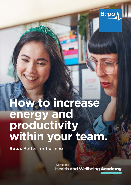

# **How to increase energy and productivity within your team.**

**Bupa.** Better for business

Workplace **Health and Wellbeing Academy**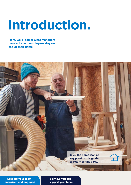# **Introduction.**

**Here, we'll look at what managers can do to help employees stay on top of their game.** 



 $\overline{\mathbf{h}}$ 

**Keeping your team [energised and engaged](#page-2-0)** 

**Six ways you can [support your team](#page-3-0)**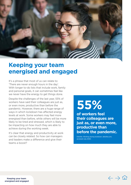<span id="page-2-0"></span>

#### **energised and engaged Keeping your team**

It's a phrase that most of us can relate to: 'There are never enough hours in the day'. With longer to-do lists that include work, family and personal goals, it can sometimes feel like we never have the energy to get things done.

Despite the challenges of the last year, 55% of workers have said their colleagues are just as, or even more, productive than before the pandemic. However, there are a huge range of ways in which lockdown has affected energy levels at work. Some workers may feel more energised than before, while others will be more likely to be tired and stressed, which is likely to be impacting on how much they are able to achieve during the working week.

It's clear that energy and productivity at work can be closely related. So how can managers and leaders make a difference and give their teams a boost?

## **55%**

**of workers feel their colleagues are just as, or even more, productive than before the pandemic.** 

Deloitte. Working during lockdown. [deloitte.com](https://deloitte.com), accessed July 2020.



Keeping your team energised and engaged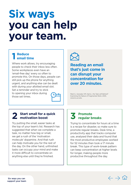## <span id="page-3-0"></span>**Six ways you can help your team.**

#### **Reduce 1 Reduce email time**

Where work allows, try encouraging people to check their inbox less often. Some workplaces even have an 'email-free day' every so often to promote this. On those days, people can still pick up the phone for anything urgent, and anything else can be dealt with during your allotted email slot. Set a reminder and try to stick to opening your inbox during those set times.



**Reading an email that's just come in can disrupt your concentration for over 20 minutes.** 

Mark G., Gonzalez VM, Harris J. No Task Left Behind? Examining the Nature of Fragmented Work. 2005. <www.Ics.uci.edu>

## **2 Start small for a quick motivation boost**

Try putting the small, easier tasks at the top of your team's list. Research has suggested that when we complete a task, no matter how big or small, we get a rush of the 'motivation molecule' dopamine. And that rush can help motivate you for the rest of the day. On the other hand, unfinished tasks can occupy your mind and make it more difficult to concentrate on anything else until they're finished.

## **3 Promote regular breaks**

Trying to concentrate for hours at a time is a recipe for disaster, so make sure to promote regular breaks. Desk time, a productivity app that tracks computer use, analysed their data and found that the most productive employees worked for 52 minutes then took a 17 minute break. This type of work–break pattern can keep concentration at higher levels for longer, making people more productive throughout the day.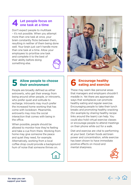#### **4** Let people focus on<br>
one task at a time **one task at a time**

Don't expect people to multitask – it's not possible. When you attempt more than one task at once, your brain constantly ficks between them, resulting in neither of them being done well. Your brain just can't handle more than one task at a time. Allow your employees to prioritise one task and complete it to the best of their ability before doing something else.



## **5 Allow people to choose their environment**

People are broadly defined as either extroverts, who get their energy from being around other people, or introverts, who prefer quiet and solitude to recharge. Introverts may much prefer the increased home working that has come with lockdown. Meanwhile, extroverts may miss the social interaction that comes with being in the office.

When possible, people should be allowed to monitor how they're feeling and take a cue from there. Working from home may give someone the peace and quiet they need, for example. Alternatively, working from a local coffee shop could provide a background hum of noise that someone thrives on.





## **6 Encourage healthy eating and exercise**

These may seem like personal areas that managers and employers shouldn't meddle in. Yet there are appropriate ways that workplaces can promote healthy eating and regular exercise. Encouraging people to take their lunch breaks and promoting healthy snacking (for example by sharing healthy recipe links around the team) can help. You could also hold virtual exercise classes or encourage people to attend meetings on their phone while out for a walk.

Diet and exercise are vital to performing at your best. Certain foods aid brain power and concentration, while exercise has been shown to have immediate positive effects on mood and mental sharpness.



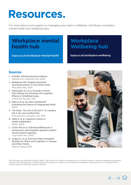## **Resources.**

For more advice and support on managing your team's wellbeing, visit Bupa's workplace mental health and wellbeing hubs.

#### **Workplace mental health hub**

[bupa.co.uk/workplace-mental-health](https://www.bupa.co.uk/workplace-mental-health) 

#### **Workplace Wellbeing hub**

<bupa.co.uk/workplace-wellbeing>

#### **Sources**

- 1. Deloitte. Working during lockdown. [deloitte.com](https://www2.deloitte.com/uk/en.html), accessed July 2020.
- neurotransmission in live human brain. 2. Badgaiyan RD. Imaging dopamine Prog Brain Res, 2014.
- 3. Masicampo EJ et al. Consider It Done! Plan Making Can Eliminate the Cognitive **Effects of Unfulfilled Goals.** J Pers Soc Psychol, 2011.
- 4. Mark G et al. No Task Left Behind? Examining the Nature of Fragmented Work. 2005.
- 5. The Muse. The rule of 52 and 17: it's random, but it ups your productivity. [themuse.com,](https://www.themuse.com/) accessed July 2018.
- media multitaskers. 6. Ophir E et al. Cognitive control in PNAS, 2009.
- neural reward responses. 7. Cohen MX et al. Individual differences in extraversion and dopamine genetics predict Cogn Brain Res, 2005.
- and Older Adults. 8. Hogan CL et al. Exercise Holds Immediate Benefits for Affect and Cognition in Younger Psychol Aging, 2013.



This information was published by Bupa's Health Content Team and is based on reputable sources of medical evidence. It has been reviewed by appropriate medical or clinical professionals. The information is not intended nor implied to be a substitute for professional medical advice nor is it intended to be for medical diagnosis or treatment. Updated July 2020.